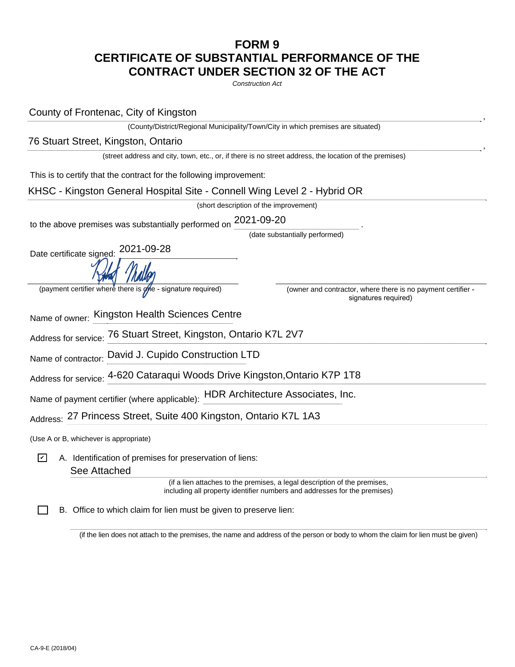## **FORM 9 CERTIFICATE OF SUBSTANTIAL PERFORMANCE OF THE CONTRACT UNDER SECTION 32 OF THE ACT**

*Construction Act*

, (County/District/Regional Municipality/Town/City in which premises are situated) , (street address and city, town, etc., or, if there is no street address, the location of the premises) This is to certify that the contract for the following improvement: (short description of the improvement) to the above premises was substantially performed on  $2021$ -09-20  $\hspace{0.5cm}$  . (date substantially performed) Date certificate signed: 2021-09-28 (payment certifier where there is one - signature required) (owner and contractor, where there is no payment certifier signatures required) Name of owner: Kingston Health Sciences Centre Address for service: 76 Stuart Street, Kingston, Ontario K7L 2V7 Name of contractor: David J. Cupido Construction LTD Address for service: Name of payment certifier (where applicable): HDR Architecture Associates, Inc. <sub>Address:</sub> 27 Princess Street, Suite 400 Kingston, Ontario K7L 1A3 (Use A or B, whichever is appropriate) A. Identification of premises for preservation of liens: (if a lien attaches to the premises, a legal description of the premises, including all property identifier numbers and addresses for the premises) B. Office to which claim for lien must be given to preserve lien: County of Frontenac, City of Kingston 76 Stuart Street, Kingston, Ontario KHSC - Kingston General Hospital Site - Connell Wing Level 2 - Hybrid OR T6 Stuart Street, Kingston, Ontario K7L 2V7<br>David J. Cupido Construction LTD<br>4-620 Cataraqui Woods Drive Kingston,Ontario K7P 1T8<br>titier (where applicable): HDR Architecture Associates, Inc. ✔ See Attached

(if the lien does not attach to the premises, the name and address of the person or body to whom the claim for lien must be given)